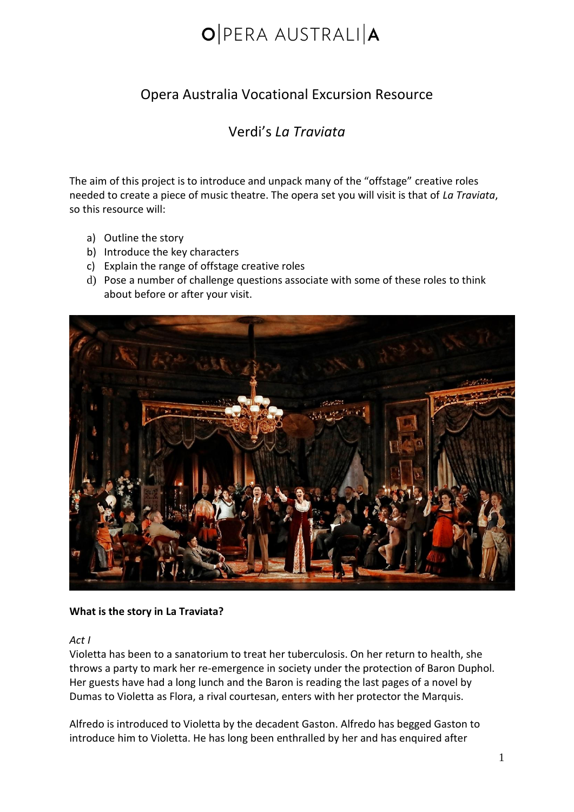### Opera Australia Vocational Excursion Resource

### Verdi's *La Traviata*

The aim of this project is to introduce and unpack many of the "offstage" creative roles needed to create a piece of music theatre. The opera set you will visit is that of *La Traviata*, so this resource will:

- a) Outline the story
- b) Introduce the key characters
- c) Explain the range of offstage creative roles
- d) Pose a number of challenge questions associate with some of these roles to think about before or after your visit.



#### **What is the story in La Traviata?**

#### *Act I*

Violetta has been to a sanatorium to treat her tuberculosis. On her return to health, she throws a party to mark her re-emergence in society under the protection of Baron Duphol. Her guests have had a long lunch and the Baron is reading the last pages of a novel by Dumas to Violetta as Flora, a rival courtesan, enters with her protector the Marquis.

Alfredo is introduced to Violetta by the decadent Gaston. Alfredo has begged Gaston to introduce him to Violetta. He has long been enthralled by her and has enquired after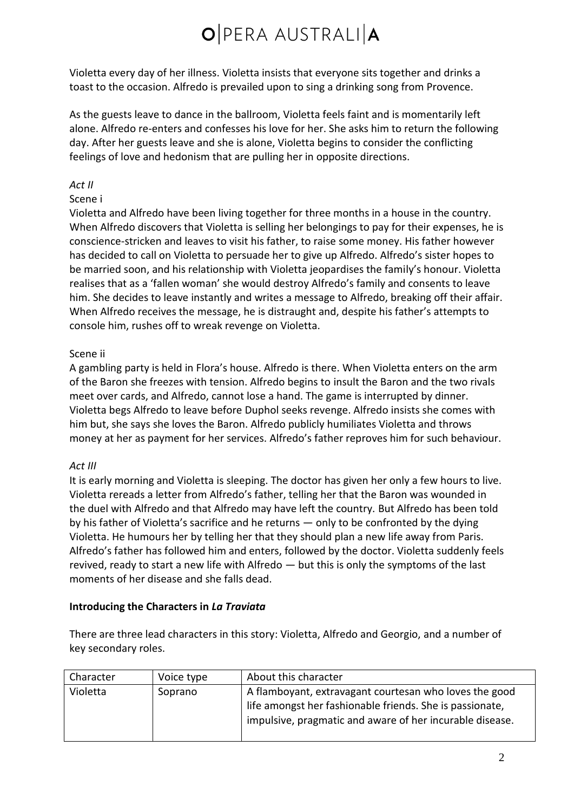Violetta every day of her illness. Violetta insists that everyone sits together and drinks a toast to the occasion. Alfredo is prevailed upon to sing a drinking song from Provence.

As the guests leave to dance in the ballroom, Violetta feels faint and is momentarily left alone. Alfredo re-enters and confesses his love for her. She asks him to return the following day. After her guests leave and she is alone, Violetta begins to consider the conflicting feelings of love and hedonism that are pulling her in opposite directions.

#### *Act II*

#### Scene i

Violetta and Alfredo have been living together for three months in a house in the country. When Alfredo discovers that Violetta is selling her belongings to pay for their expenses, he is conscience-stricken and leaves to visit his father, to raise some money. His father however has decided to call on Violetta to persuade her to give up Alfredo. Alfredo's sister hopes to be married soon, and his relationship with Violetta jeopardises the family's honour. Violetta realises that as a 'fallen woman' she would destroy Alfredo's family and consents to leave him. She decides to leave instantly and writes a message to Alfredo, breaking off their affair. When Alfredo receives the message, he is distraught and, despite his father's attempts to console him, rushes off to wreak revenge on Violetta.

#### Scene ii

A gambling party is held in Flora's house. Alfredo is there. When Violetta enters on the arm of the Baron she freezes with tension. Alfredo begins to insult the Baron and the two rivals meet over cards, and Alfredo, cannot lose a hand. The game is interrupted by dinner. Violetta begs Alfredo to leave before Duphol seeks revenge. Alfredo insists she comes with him but, she says she loves the Baron. Alfredo publicly humiliates Violetta and throws money at her as payment for her services. Alfredo's father reproves him for such behaviour.

#### *Act III*

It is early morning and Violetta is sleeping. The doctor has given her only a few hours to live. Violetta rereads a letter from Alfredo's father, telling her that the Baron was wounded in the duel with Alfredo and that Alfredo may have left the country. But Alfredo has been told by his father of Violetta's sacrifice and he returns — only to be confronted by the dying Violetta. He humours her by telling her that they should plan a new life away from Paris. Alfredo's father has followed him and enters, followed by the doctor. Violetta suddenly feels revived, ready to start a new life with Alfredo — but this is only the symptoms of the last moments of her disease and she falls dead.

#### **Introducing the Characters in** *La Traviata*

There are three lead characters in this story: Violetta, Alfredo and Georgio, and a number of key secondary roles.

| Character | Voice type | About this character                                                                                                                                                           |
|-----------|------------|--------------------------------------------------------------------------------------------------------------------------------------------------------------------------------|
| Violetta  | Soprano    | A flamboyant, extravagant courtesan who loves the good<br>life amongst her fashionable friends. She is passionate,<br>impulsive, pragmatic and aware of her incurable disease. |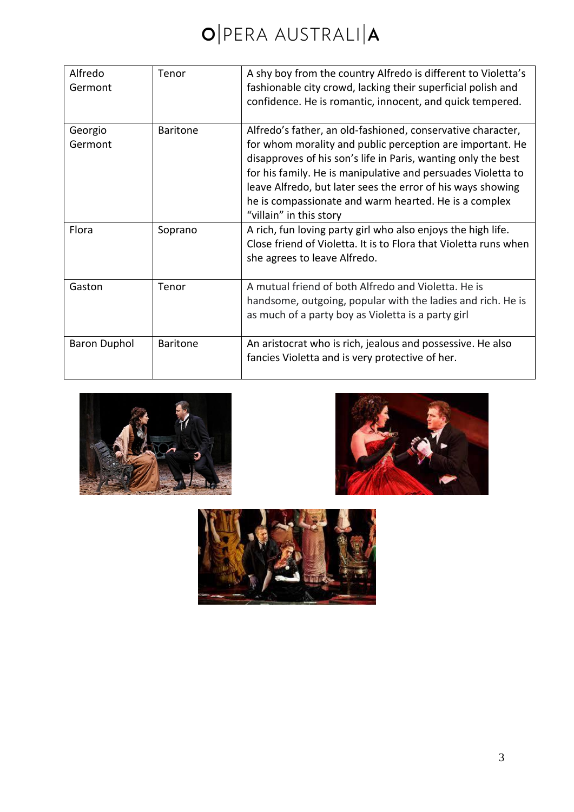| Alfredo<br>Germont  | Tenor           | A shy boy from the country Alfredo is different to Violetta's<br>fashionable city crowd, lacking their superficial polish and<br>confidence. He is romantic, innocent, and quick tempered.                                                                                                                                                                                                                   |
|---------------------|-----------------|--------------------------------------------------------------------------------------------------------------------------------------------------------------------------------------------------------------------------------------------------------------------------------------------------------------------------------------------------------------------------------------------------------------|
| Georgio<br>Germont  | <b>Baritone</b> | Alfredo's father, an old-fashioned, conservative character,<br>for whom morality and public perception are important. He<br>disapproves of his son's life in Paris, wanting only the best<br>for his family. He is manipulative and persuades Violetta to<br>leave Alfredo, but later sees the error of his ways showing<br>he is compassionate and warm hearted. He is a complex<br>"villain" in this story |
| Flora               | Soprano         | A rich, fun loving party girl who also enjoys the high life.<br>Close friend of Violetta. It is to Flora that Violetta runs when<br>she agrees to leave Alfredo.                                                                                                                                                                                                                                             |
| Gaston              | Tenor           | A mutual friend of both Alfredo and Violetta. He is<br>handsome, outgoing, popular with the ladies and rich. He is<br>as much of a party boy as Violetta is a party girl                                                                                                                                                                                                                                     |
| <b>Baron Duphol</b> | <b>Baritone</b> | An aristocrat who is rich, jealous and possessive. He also<br>fancies Violetta and is very protective of her.                                                                                                                                                                                                                                                                                                |





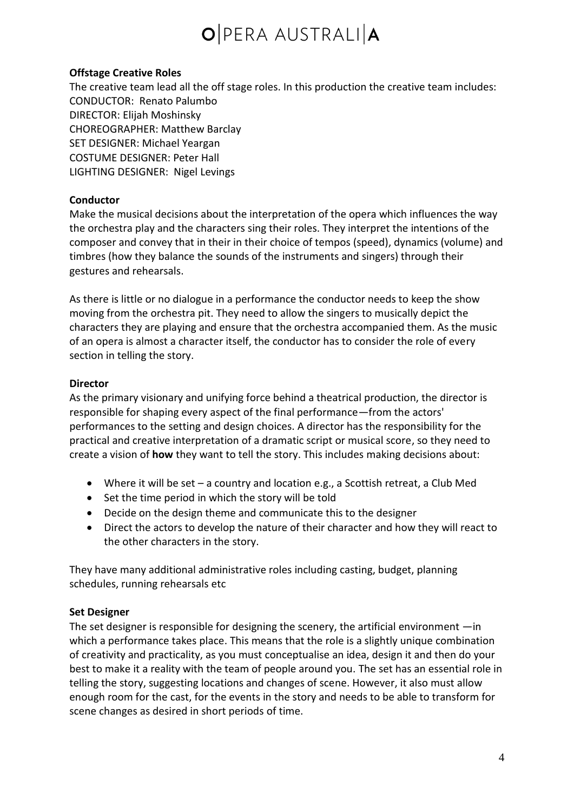#### **Offstage Creative Roles**

The creative team lead all the off stage roles. In this production the creative team includes: CONDUCTOR: [Renato Palumbo](https://opera.org.au/artist/renato-palumbo/) DIRECTOR: [Elijah Moshinsky](https://opera.org.au/artist/elijah-moshinsky/) CHOREOGRAPHER: [Matthew Barclay](https://opera.org.au/artist/matthew-barclay/) SET DESIGNER: [Michael Yeargan](https://opera.org.au/artist/michael-yeargan/) COSTUME DESIGNER: [Peter Hall](https://opera.org.au/artist/peter-hall/) LIGHTING DESIGNER: [Nigel Levings](https://opera.org.au/artist/nigel-levings/)

#### **Conductor**

Make the musical decisions about the interpretation of the opera which influences the way the orchestra play and the characters sing their roles. They interpret the intentions of the composer and convey that in their in their choice of tempos (speed), dynamics (volume) and timbres (how they balance the sounds of the instruments and singers) through their gestures and rehearsals.

As there is little or no dialogue in a performance the conductor needs to keep the show moving from the orchestra pit. They need to allow the singers to musically depict the characters they are playing and ensure that the orchestra accompanied them. As the music of an opera is almost a character itself, the conductor has to consider the role of every section in telling the story.

#### **Director**

As the primary visionary and unifying force behind a theatrical production, the director is responsible for shaping every aspect of the final performance—from the actors' performances to the setting and design choices. A director has the responsibility for the practical and creative interpretation of a dramatic script or musical score, so they need to create a vision of **how** they want to tell the story. This includes making decisions about:

- Where it will be set a country and location e.g., a Scottish retreat, a Club Med
- Set the time period in which the story will be told
- Decide on the design theme and communicate this to the designer
- Direct the actors to develop the nature of their character and how they will react to the other characters in the story.

They have many additional administrative roles including casting, budget, planning schedules, running rehearsals etc

#### **Set Designer**

The set designer is responsible for designing the scenery, the artificial environment —in which a performance takes place. This means that the role is a slightly unique combination of creativity and practicality, as you must conceptualise an idea, design it and then do your best to make it a reality with the team of people around you. The set has an essential role in telling the story, suggesting locations and changes of scene. However, it also must allow enough room for the cast, for the events in the story and needs to be able to transform for scene changes as desired in short periods of time.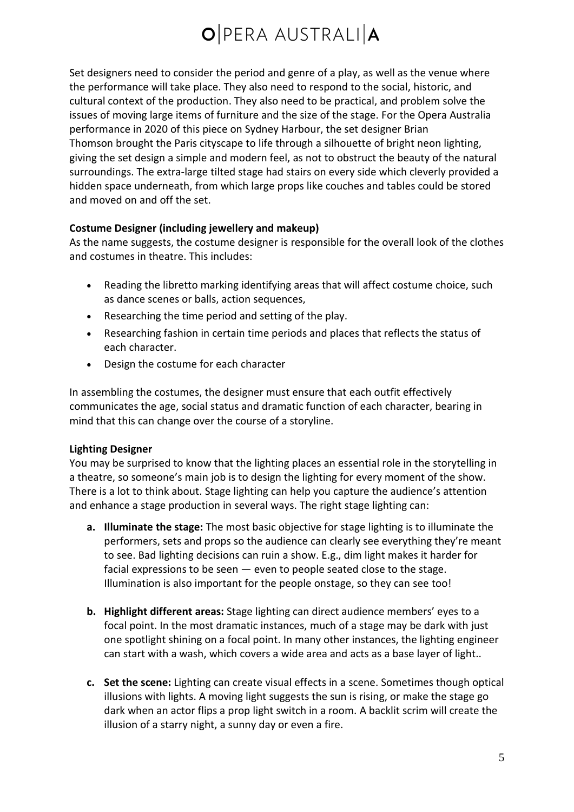Set designers need to consider the period and genre of a play, as well as the venue where the performance will take place. They also need to respond to the social, historic, and cultural context of the production. They also need to be practical, and problem solve the issues of moving large items of furniture and the size of the stage. For the Opera Australia performance in 2020 of this piece on Sydney Harbour, the set designer Brian Thomson brought the Paris cityscape to life through a silhouette of bright neon lighting, giving the set design a simple and modern feel, as not to obstruct the beauty of the natural surroundings. The extra-large tilted stage had stairs on every side which cleverly provided a hidden space underneath, from which large props like couches and tables could be stored and moved on and off the set.

#### **Costume Designer (including jewellery and makeup)**

As the name suggests, the costume designer is responsible for the overall look of the clothes and costumes in theatre. This includes:

- Reading the libretto marking identifying areas that will affect costume choice, such as dance scenes or balls, action sequences,
- Researching the time period and setting of the play.
- Researching fashion in certain time periods and places that reflects the status of each character.
- Design the costume for each character

In assembling the costumes, the designer must ensure that each outfit effectively communicates the age, social status and dramatic function of each character, bearing in mind that this can change over the course of a storyline.

#### **Lighting Designer**

You may be surprised to know that the lighting places an essential role in the storytelling in a theatre, so someone's main job is to design the lighting for every moment of the show. There is a lot to think about. Stage lighting can help you capture the audience's attention and enhance a stage production in several ways. The right stage lighting can:

- **a. Illuminate the stage:** The most basic objective for stage lighting is to illuminate the performers, sets and props so the audience can clearly see everything they're meant to see. Bad lighting decisions can ruin a show. E.g., dim light makes it harder for facial expressions to be seen — even to people seated close to the stage. Illumination is also important for the people onstage, so they can see too!
- **b. Highlight different areas:** Stage lighting can direct audience members' eyes to a focal point. In the most dramatic instances, much of a stage may be dark with just one spotlight shining on a focal point. In many other instances, the lighting engineer can start with a wash, which covers a wide area and acts as a base layer of light..
- **c. Set the scene:** Lighting can create visual effects in a scene. Sometimes though optical illusions with lights. A moving light suggests the sun is rising, or make the stage go dark when an actor flips a prop light switch in a room. A backlit scrim will create the illusion of a starry night, a sunny day or even a fire.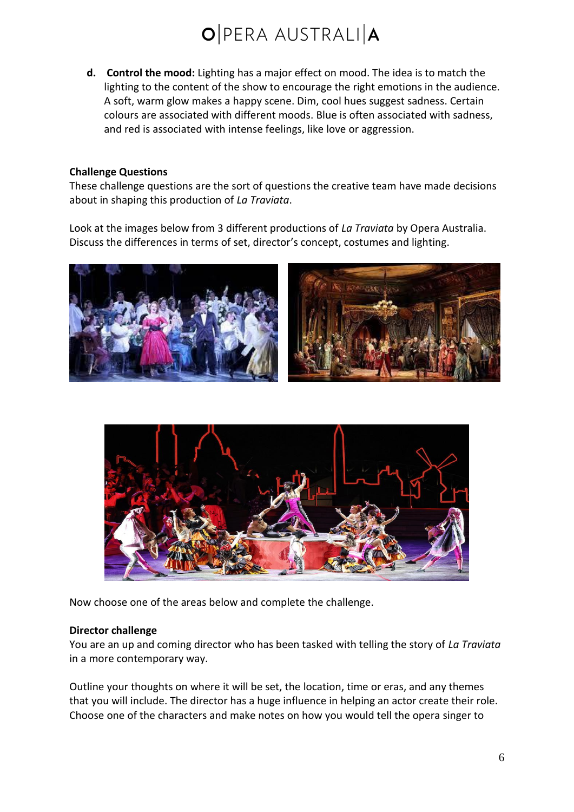**d. Control the mood:** Lighting has a major effect on mood. The idea is to match the lighting to the content of the show to encourage the right emotions in the audience. A soft, warm glow makes a happy scene. Dim, cool hues suggest sadness. Certain colours are associated with different moods. Blue is often associated with sadness, and red is associated with intense feelings, like love or aggression.

#### **Challenge Questions**

These challenge questions are the sort of questions the creative team have made decisions about in shaping this production of *La Traviata*.

Look at the images below from 3 different productions of *La Traviata* by Opera Australia. Discuss the differences in terms of set, director's concept, costumes and lighting.





Now choose one of the areas below and complete the challenge.

#### **Director challenge**

You are an up and coming director who has been tasked with telling the story of *La Traviata* in a more contemporary way.

Outline your thoughts on where it will be set, the location, time or eras, and any themes that you will include. The director has a huge influence in helping an actor create their role. Choose one of the characters and make notes on how you would tell the opera singer to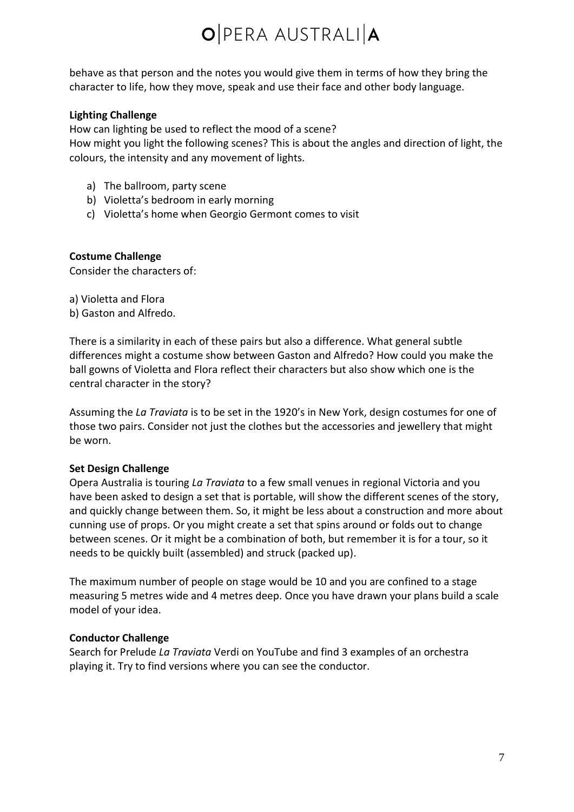behave as that person and the notes you would give them in terms of how they bring the character to life, how they move, speak and use their face and other body language.

#### **Lighting Challenge**

How can lighting be used to reflect the mood of a scene?

How might you light the following scenes? This is about the angles and direction of light, the colours, the intensity and any movement of lights.

- a) The ballroom, party scene
- b) Violetta's bedroom in early morning
- c) Violetta's home when Georgio Germont comes to visit

#### **Costume Challenge**

Consider the characters of:

a) Violetta and Flora

b) Gaston and Alfredo.

There is a similarity in each of these pairs but also a difference. What general subtle differences might a costume show between Gaston and Alfredo? How could you make the ball gowns of Violetta and Flora reflect their characters but also show which one is the central character in the story?

Assuming the *La Traviata* is to be set in the 1920's in New York, design costumes for one of those two pairs. Consider not just the clothes but the accessories and jewellery that might be worn.

#### **Set Design Challenge**

Opera Australia is touring *La Traviata* to a few small venues in regional Victoria and you have been asked to design a set that is portable, will show the different scenes of the story, and quickly change between them. So, it might be less about a construction and more about cunning use of props. Or you might create a set that spins around or folds out to change between scenes. Or it might be a combination of both, but remember it is for a tour, so it needs to be quickly built (assembled) and struck (packed up).

The maximum number of people on stage would be 10 and you are confined to a stage measuring 5 metres wide and 4 metres deep. Once you have drawn your plans build a scale model of your idea.

#### **Conductor Challenge**

Search for Prelude *La Traviata* Verdi on YouTube and find 3 examples of an orchestra playing it. Try to find versions where you can see the conductor.